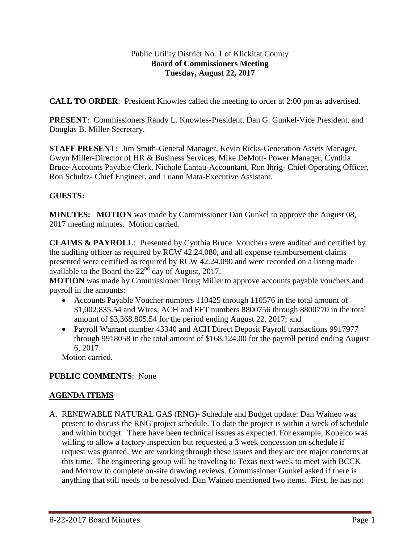### Public Utility District No. 1 of Klickitat County **Board of Commissioners Meeting Tuesday, August 22, 2017**

**CALL TO ORDER**: President Knowles called the meeting to order at 2:00 pm as advertised.

**PRESENT**: Commissioners Randy L. Knowles-President, Dan G. Gunkel-Vice President, and Douglas B. Miller-Secretary.

**STAFF PRESENT:** Jim Smith-General Manager, Kevin Ricks-Generation Assets Manager, Gwyn Miller-Director of HR & Business Services, Mike DeMott- Power Manager, Cynthia Bruce-Accounts Payable Clerk, Nichole Lantau-Accountant, Ron Ihrig- Chief Operating Officer, Ron Schultz- Chief Engineer, and Luann Mata-Executive Assistant.

# **GUESTS:**

**MINUTES:** MOTION was made by Commissioner Dan Gunkel to approve the August 08, 2017 meeting minutes. Motion carried.

**CLAIMS & PAYROLL**: Presented by Cynthia Bruce. Vouchers were audited and certified by the auditing officer as required by RCW 42.24.080, and all expense reimbursement claims presented were certified as required by RCW 42.24.090 and were recorded on a listing made available to the Board the  $22<sup>nd</sup>$  day of August, 2017.

**MOTION** was made by Commissioner Doug Miller to approve accounts payable vouchers and payroll in the amounts:

- Accounts Payable Voucher numbers 110425 through 110576 in the total amount of \$1,002,835.54 and Wires, ACH and EFT numbers 8800756 through 8800770 in the total amount of \$3,368,805.54 for the period ending August 22, 2017; and
- Payroll Warrant number 43340 and ACH Direct Deposit Payroll transactions 9917977 through 9918058 in the total amount of \$168,124.00 for the payroll period ending August 6, 2017.

Motion carried.

# **PUBLIC COMMENTS**: None

# **AGENDA ITEMS**

A. RENEWABLE NATURAL GAS (RNG)- Schedule and Budget update: Dan Waineo was present to discuss the RNG project schedule. To date the project is within a week of schedule and within budget. There have been technical issues as expected. For example, Kobelco was willing to allow a factory inspection but requested a 3 week concession on schedule if request was granted. We are working through these issues and they are not major concerns at this time. The engineering group will be traveling to Texas next week to meet with BCCK and Morrow to complete on-site drawing reviews. Commissioner Gunkel asked if there is anything that still needs to be resolved. Dan Waineo mentioned two items. First, he has not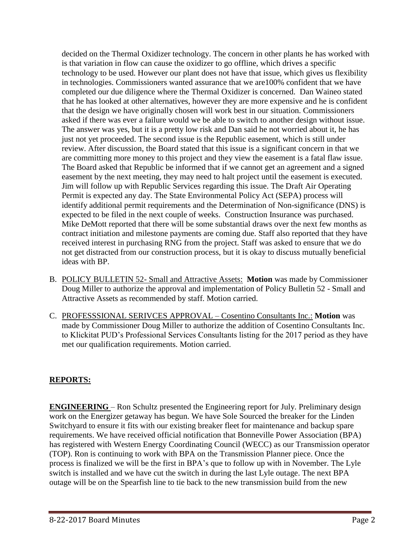decided on the Thermal Oxidizer technology. The concern in other plants he has worked with is that variation in flow can cause the oxidizer to go offline, which drives a specific technology to be used. However our plant does not have that issue, which gives us flexibility in technologies. Commissioners wanted assurance that we are100% confident that we have completed our due diligence where the Thermal Oxidizer is concerned. Dan Waineo stated that he has looked at other alternatives, however they are more expensive and he is confident that the design we have originally chosen will work best in our situation. Commissioners asked if there was ever a failure would we be able to switch to another design without issue. The answer was yes, but it is a pretty low risk and Dan said he not worried about it, he has just not yet proceeded. The second issue is the Republic easement, which is still under review. After discussion, the Board stated that this issue is a significant concern in that we are committing more money to this project and they view the easement is a fatal flaw issue. The Board asked that Republic be informed that if we cannot get an agreement and a signed easement by the next meeting, they may need to halt project until the easement is executed. Jim will follow up with Republic Services regarding this issue. The Draft Air Operating Permit is expected any day. The State Environmental Policy Act (SEPA) process will identify additional permit requirements and the Determination of Non-significance (DNS) is expected to be filed in the next couple of weeks. Construction Insurance was purchased. Mike DeMott reported that there will be some substantial draws over the next few months as contract initiation and milestone payments are coming due. Staff also reported that they have received interest in purchasing RNG from the project. Staff was asked to ensure that we do not get distracted from our construction process, but it is okay to discuss mutually beneficial ideas with BP.

- B. POLICY BULLETIN 52- Small and Attractive Assets: **Motion** was made by Commissioner Doug Miller to authorize the approval and implementation of Policy Bulletin 52 - Small and Attractive Assets as recommended by staff. Motion carried.
- C. PROFESSSIONAL SERIVCES APPROVAL Cosentino Consultants Inc.: **Motion** was made by Commissioner Doug Miller to authorize the addition of Cosentino Consultants Inc. to Klickitat PUD's Professional Services Consultants listing for the 2017 period as they have met our qualification requirements. Motion carried.

# **REPORTS:**

**ENGINEERING** – Ron Schultz presented the Engineering report for July. Preliminary design work on the Energizer getaway has begun. We have Sole Sourced the breaker for the Linden Switchyard to ensure it fits with our existing breaker fleet for maintenance and backup spare requirements. We have received official notification that Bonneville Power Association (BPA) has registered with Western Energy Coordinating Council (WECC) as our Transmission operator (TOP). Ron is continuing to work with BPA on the Transmission Planner piece. Once the process is finalized we will be the first in BPA's que to follow up with in November. The Lyle switch is installed and we have cut the switch in during the last Lyle outage. The next BPA outage will be on the Spearfish line to tie back to the new transmission build from the new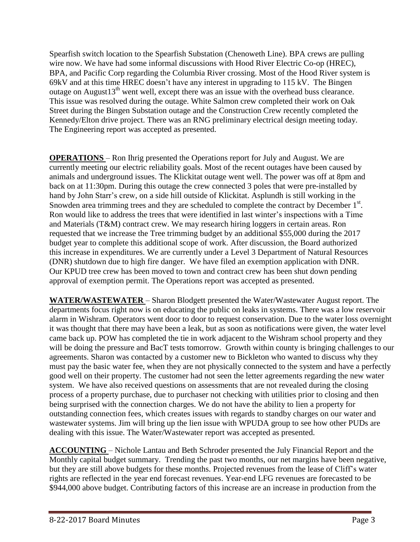Spearfish switch location to the Spearfish Substation (Chenoweth Line). BPA crews are pulling wire now. We have had some informal discussions with Hood River Electric Co-op (HREC), BPA, and Pacific Corp regarding the Columbia River crossing. Most of the Hood River system is 69kV and at this time HREC doesn't have any interest in upgrading to 115 kV. The Bingen outage on August $13<sup>th</sup>$  went well, except there was an issue with the overhead buss clearance. This issue was resolved during the outage. White Salmon crew completed their work on Oak Street during the Bingen Substation outage and the Construction Crew recently completed the Kennedy/Elton drive project. There was an RNG preliminary electrical design meeting today. The Engineering report was accepted as presented.

**OPERATIONS** – Ron Ihrig presented the Operations report for July and August. We are currently meeting our electric reliability goals. Most of the recent outages have been caused by animals and underground issues. The Klickitat outage went well. The power was off at 8pm and back on at 11:30pm. During this outage the crew connected 3 poles that were pre-installed by hand by John Starr's crew, on a side hill outside of Klickitat. Asplundh is still working in the Snowden area trimming trees and they are scheduled to complete the contract by December  $1<sup>st</sup>$ . Ron would like to address the trees that were identified in last winter's inspections with a Time and Materials (T&M) contract crew. We may research hiring loggers in certain areas. Ron requested that we increase the Tree trimming budget by an additional \$55,000 during the 2017 budget year to complete this additional scope of work. After discussion, the Board authorized this increase in expenditures. We are currently under a Level 3 Department of Natural Resources (DNR) shutdown due to high fire danger. We have filed an exemption application with DNR. Our KPUD tree crew has been moved to town and contract crew has been shut down pending approval of exemption permit. The Operations report was accepted as presented.

**WATER/WASTEWATER** – Sharon Blodgett presented the Water/Wastewater August report. The departments focus right now is on educating the public on leaks in systems. There was a low reservoir alarm in Wishram. Operators went door to door to request conservation. Due to the water loss overnight it was thought that there may have been a leak, but as soon as notifications were given, the water level came back up. POW has completed the tie in work adjacent to the Wishram school property and they will be doing the pressure and BacT tests tomorrow. Growth within county is bringing challenges to our agreements. Sharon was contacted by a customer new to Bickleton who wanted to discuss why they must pay the basic water fee, when they are not physically connected to the system and have a perfectly good well on their property. The customer had not seen the letter agreements regarding the new water system. We have also received questions on assessments that are not revealed during the closing process of a property purchase, due to purchaser not checking with utilities prior to closing and then being surprised with the connection charges. We do not have the ability to lien a property for outstanding connection fees, which creates issues with regards to standby charges on our water and wastewater systems. Jim will bring up the lien issue with WPUDA group to see how other PUDs are dealing with this issue. The Water/Wastewater report was accepted as presented.

**ACCOUNTING** – Nichole Lantau and Beth Schroder presented the July Financial Report and the Monthly capital budget summary. Trending the past two months, our net margins have been negative, but they are still above budgets for these months. Projected revenues from the lease of Cliff's water rights are reflected in the year end forecast revenues. Year-end LFG revenues are forecasted to be \$944,000 above budget. Contributing factors of this increase are an increase in production from the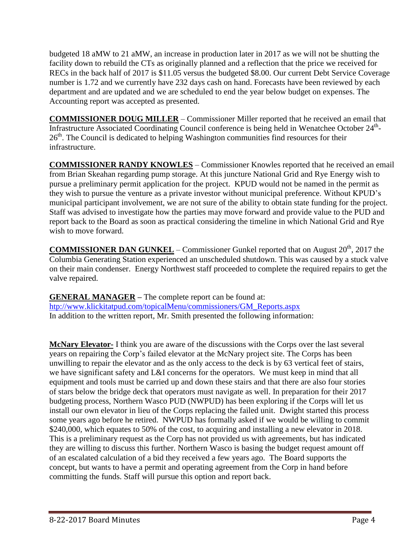budgeted 18 aMW to 21 aMW, an increase in production later in 2017 as we will not be shutting the facility down to rebuild the CTs as originally planned and a reflection that the price we received for RECs in the back half of 2017 is \$11.05 versus the budgeted \$8.00. Our current Debt Service Coverage number is 1.72 and we currently have 232 days cash on hand. Forecasts have been reviewed by each department and are updated and we are scheduled to end the year below budget on expenses. The Accounting report was accepted as presented.

**COMMISSIONER DOUG MILLER** – Commissioner Miller reported that he received an email that Infrastructure Associated Coordinating Council conference is being held in Wenatchee October 24<sup>th</sup>-26<sup>th</sup>. The Council is dedicated to helping Washington communities find resources for their infrastructure.

**COMMISSIONER RANDY KNOWLES** – Commissioner Knowles reported that he received an email from Brian Skeahan regarding pump storage. At this juncture National Grid and Rye Energy wish to pursue a preliminary permit application for the project. KPUD would not be named in the permit as they wish to pursue the venture as a private investor without municipal preference. Without KPUD's municipal participant involvement, we are not sure of the ability to obtain state funding for the project. Staff was advised to investigate how the parties may move forward and provide value to the PUD and report back to the Board as soon as practical considering the timeline in which National Grid and Rye wish to move forward.

**COMMISSIONER DAN GUNKEL** – Commissioner Gunkel reported that on August 20<sup>th</sup>, 2017 the Columbia Generating Station experienced an unscheduled shutdown. This was caused by a stuck valve on their main condenser. Energy Northwest staff proceeded to complete the required repairs to get the valve repaired.

**GENERAL MANAGER –** The complete report can be found at: [htp://www.klickitatpud.com/topicalMenu/commissioners/GM\\_Reports.aspx](http://www.klickitatpud.com/topicalMenu/commissioners/GM_Reports.aspx) In addition to the written report, Mr. Smith presented the following information:

**McNary Elevator-** I think you are aware of the discussions with the Corps over the last several years on repairing the Corp's failed elevator at the McNary project site. The Corps has been unwilling to repair the elevator and as the only access to the deck is by 63 vertical feet of stairs, we have significant safety and L&I concerns for the operators. We must keep in mind that all equipment and tools must be carried up and down these stairs and that there are also four stories of stars below the bridge deck that operators must navigate as well. In preparation for their 2017 budgeting process, Northern Wasco PUD (NWPUD) has been exploring if the Corps will let us install our own elevator in lieu of the Corps replacing the failed unit. Dwight started this process some years ago before he retired. NWPUD has formally asked if we would be willing to commit \$240,000, which equates to 50% of the cost, to acquiring and installing a new elevator in 2018. This is a preliminary request as the Corp has not provided us with agreements, but has indicated they are willing to discuss this further. Northern Wasco is basing the budget request amount off of an escalated calculation of a bid they received a few years ago. The Board supports the concept, but wants to have a permit and operating agreement from the Corp in hand before committing the funds. Staff will pursue this option and report back.